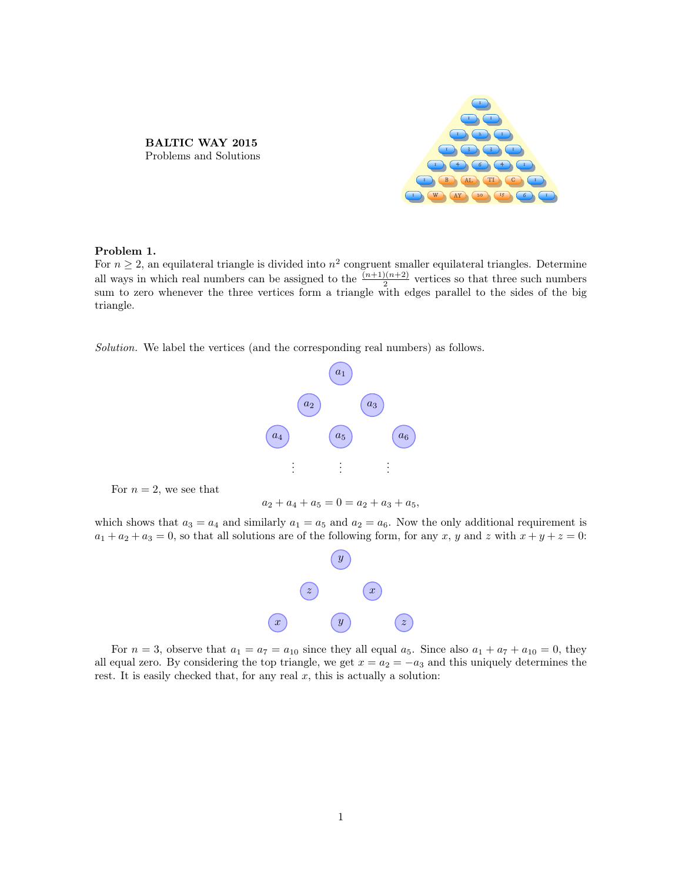BALTIC WAY 2015 Problems and Solutions



# Problem 1.

For  $n \geq 2$ , an equilateral triangle is divided into  $n^2$  congruent smaller equilateral triangles. Determine all ways in which real numbers can be assigned to the  $\frac{(n+1)(n+2)}{2}$  vertices so that three such numbers sum to zero whenever the three vertices form a triangle with edges parallel to the sides of the big triangle.

Solution. We label the vertices (and the corresponding real numbers) as follows.



For  $n = 2$ , we see that

 $a_2 + a_4 + a_5 = 0$  =  $a_2 + a_3 + a_5$ ,

which shows that  $a_3 = a_4$  and similarly  $a_1 = a_5$  and  $a_2 = a_6$ . Now the only additional requirement is  $a_1 + a_2 + a_3 = 0$ , so that all solutions are of the following form, for any x, y and z with  $x + y + z = 0$ :



For  $n = 3$ , observe that  $a_1 = a_7 = a_{10}$  since they all equal  $a_5$ . Since also  $a_1 + a_7 + a_{10} = 0$ , they all equal zero. By considering the top triangle, we get  $x = a_2 = -a_3$  and this uniquely determines the rest. It is easily checked that, for any real  $x$ , this is actually a solution: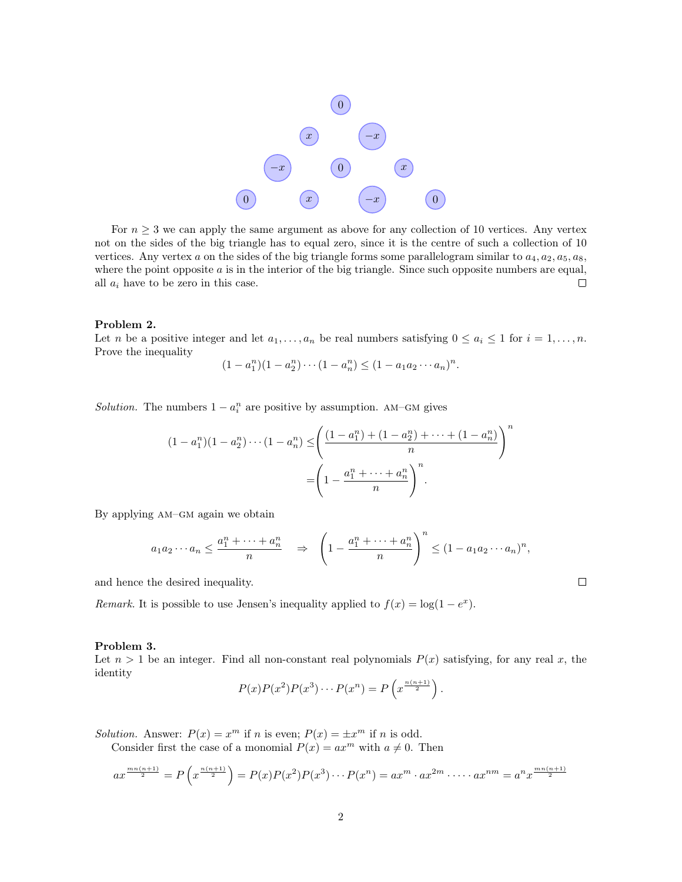

For  $n \geq 3$  we can apply the same argument as above for any collection of 10 vertices. Any vertex not on the sides of the big triangle has to equal zero, since it is the centre of such a collection of 10 vertices. Any vertex a on the sides of the big triangle forms some parallelogram similar to  $a_4, a_2, a_5, a_8$ , where the point opposite a is in the interior of the big triangle. Since such opposite numbers are equal, all  $a_i$  have to be zero in this case.  $\Box$ 

#### Problem 2.

Let n be a positive integer and let  $a_1, \ldots, a_n$  be real numbers satisfying  $0 \le a_i \le 1$  for  $i = 1, \ldots, n$ . Prove the inequality

$$
(1 - a_1^n)(1 - a_2^n) \cdots (1 - a_n^n) \le (1 - a_1 a_2 \cdots a_n)^n.
$$

Solution. The numbers  $1 - a_i^n$  are positive by assumption. AM–GM gives

$$
(1 - a_1^n)(1 - a_2^n) \cdots (1 - a_n^n) \le \left(\frac{(1 - a_1^n) + (1 - a_2^n) + \cdots + (1 - a_n^n)}{n}\right)^n
$$

$$
= \left(1 - \frac{a_1^n + \cdots + a_n^n}{n}\right)^n.
$$

By applying am–gm again we obtain

$$
a_1 a_2 \cdots a_n \le \frac{a_1^n + \cdots + a_n^n}{n} \quad \Rightarrow \quad \left(1 - \frac{a_1^n + \cdots + a_n^n}{n}\right)^n \le (1 - a_1 a_2 \cdots a_n)^n,
$$

 $\Box$ 

and hence the desired inequality.

Remark. It is possible to use Jensen's inequality applied to  $f(x) = \log(1 - e^x)$ .

#### Problem 3.

Let  $n > 1$  be an integer. Find all non-constant real polynomials  $P(x)$  satisfying, for any real x, the identity

$$
P(x)P(x2)P(x3)\cdots P(xn) = P\left(x^{\frac{n(n+1)}{2}}\right).
$$

Solution. Answer:  $P(x) = x^m$  if n is even;  $P(x) = \pm x^m$  if n is odd.

Consider first the case of a monomial  $P(x) = ax^m$  with  $a \neq 0$ . Then

$$
ax^{\frac{mn(n+1)}{2}} = P\left(x^{\frac{n(n+1)}{2}}\right) = P(x)P(x^2)P(x^3)\cdots P(x^n) = ax^m \cdot ax^{2m} \cdot \cdots \cdot ax^{nm} = a^n x^{\frac{mn(n+1)}{2}}
$$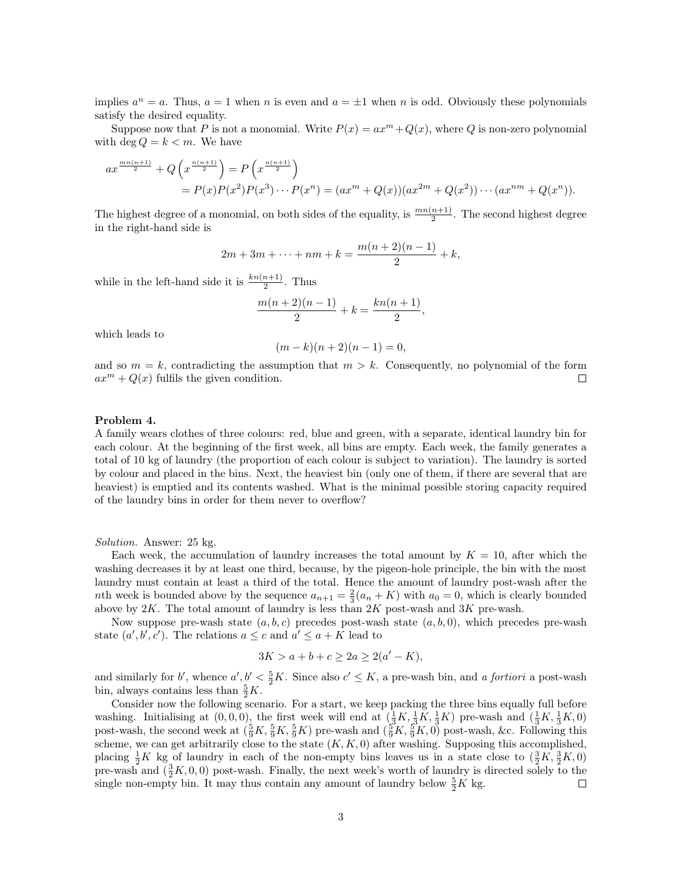implies  $a^n = a$ . Thus,  $a = 1$  when n is even and  $a = \pm 1$  when n is odd. Obviously these polynomials satisfy the desired equality.

Suppose now that P is not a monomial. Write  $P(x) = ax^m + Q(x)$ , where Q is non-zero polynomial with deg  $Q = k < m$ . We have

$$
ax^{\frac{mn(n+1)}{2}} + Q\left(x^{\frac{n(n+1)}{2}}\right) = P\left(x^{\frac{n(n+1)}{2}}\right)
$$
  
=  $P(x)P(x^2)P(x^3) \cdots P(x^n) = (ax^m + Q(x))(ax^{2m} + Q(x^2)) \cdots (ax^{nm} + Q(x^n)).$ 

The highest degree of a monomial, on both sides of the equality, is  $\frac{mn(n+1)}{2}$ . The second highest degree in the right-hand side is

$$
2m + 3m + \dots + nm + k = \frac{m(n+2)(n-1)}{2} + k,
$$

while in the left-hand side it is  $\frac{k n(n+1)}{2}$ . Thus

$$
\frac{m(n+2)(n-1)}{2} + k = \frac{kn(n+1)}{2},
$$

which leads to

$$
(m-k)(n+2)(n-1) = 0,
$$

and so  $m = k$ , contradicting the assumption that  $m > k$ . Consequently, no polynomial of the form  $ax^m + Q(x)$  fulfils the given condition.  $\Box$ 

### Problem 4.

A family wears clothes of three colours: red, blue and green, with a separate, identical laundry bin for each colour. At the beginning of the first week, all bins are empty. Each week, the family generates a total of 10 kg of laundry (the proportion of each colour is subject to variation). The laundry is sorted by colour and placed in the bins. Next, the heaviest bin (only one of them, if there are several that are heaviest) is emptied and its contents washed. What is the minimal possible storing capacity required of the laundry bins in order for them never to overflow?

Solution. Answer: 25 kg.

Each week, the accumulation of laundry increases the total amount by  $K = 10$ , after which the washing decreases it by at least one third, because, by the pigeon-hole principle, the bin with the most laundry must contain at least a third of the total. Hence the amount of laundry post-wash after the nth week is bounded above by the sequence  $a_{n+1} = \frac{2}{3}(a_n + K)$  with  $a_0 = 0$ , which is clearly bounded above by  $2K$ . The total amount of laundry is less than  $2K$  post-wash and  $3K$  pre-wash.

Now suppose pre-wash state  $(a, b, c)$  precedes post-wash state  $(a, b, 0)$ , which precedes pre-wash state  $(a', b', c')$ . The relations  $a \leq c$  and  $a' \leq a + K$  lead to

$$
3K > a + b + c \ge 2a \ge 2(a' - K),
$$

and similarly for b', whence  $a', b' < \frac{5}{2}K$ . Since also  $c' \leq K$ , a pre-wash bin, and a fortiori a post-wash bin, always contains less than  $\frac{5}{2}K$ .

Consider now the following scenario. For a start, we keep packing the three bins equally full before washing. Initialising at  $(0,0,0)$ , the first week will end at  $(\frac{1}{3}K, \frac{1}{3}K, \frac{1}{3}K)$  pre-wash and  $(\frac{1}{3}K, \frac{1}{3}K, 0)$ post-wash, the second week at  $(\frac{5}{9}K, \frac{5}{9}K, \frac{5}{9}K)$  pre-wash and  $(\frac{5}{9}K, \frac{5}{9}K, 0)$  post-wash, &c. Following this scheme, we can get arbitrarily close to the state  $(K, K, 0)$  after washing. Supposing this accomplished, placing  $\frac{1}{2}K$  kg of laundry in each of the non-empty bins leaves us in a state close to  $(\frac{3}{2}K, \frac{3}{2}K, 0)$ pre-wash and  $(\frac{3}{2}K, 0, 0)$  post-wash. Finally, the next week's worth of laundry is directed solely to the single non-empty bin. It may thus contain any amount of laundry below  $\frac{5}{2}K$  kg.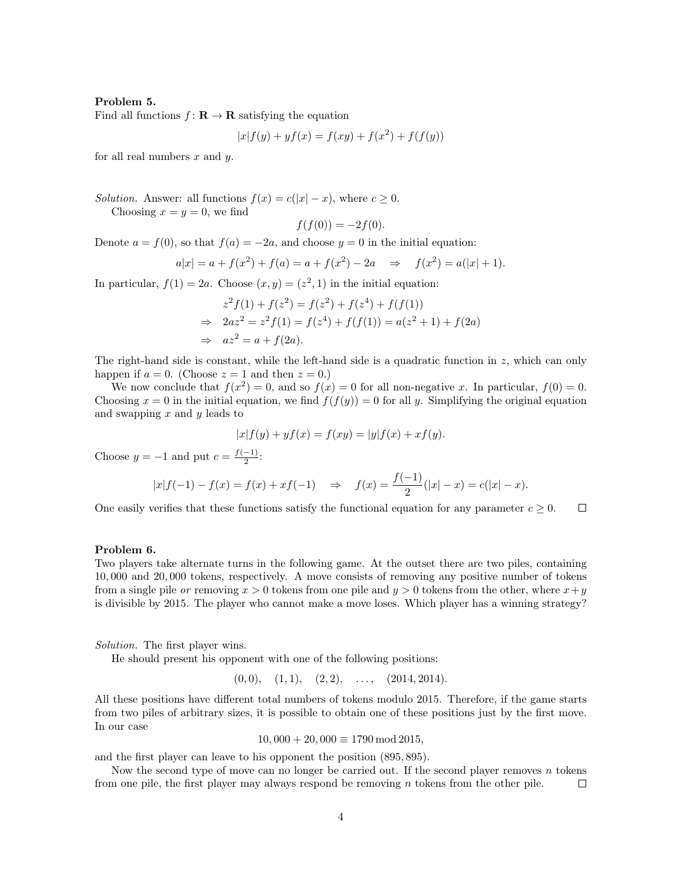#### Problem 5.

Find all functions  $f: \mathbf{R} \to \mathbf{R}$  satisfying the equation

$$
|x|f(y) + yf(x) = f(xy) + f(x^{2}) + f(f(y))
$$

for all real numbers  $x$  and  $y$ .

Solution. Answer: all functions  $f(x) = c(|x| - x)$ , where  $c \ge 0$ . Choosing  $x = y = 0$ , we find

$$
f(f(0)) = -2f(0).
$$

Denote  $a = f(0)$ , so that  $f(a) = -2a$ , and choose  $y = 0$  in the initial equation:

$$
a|x| = a + f(x^2) + f(a) = a + f(x^2) - 2a \Rightarrow f(x^2) = a(|x| + 1).
$$

In particular,  $f(1) = 2a$ . Choose  $(x, y) = (z^2, 1)$  in the initial equation:

$$
z^{2} f(1) + f(z^{2}) = f(z^{2}) + f(z^{4}) + f(f(1))
$$
  
\n⇒ 
$$
2az^{2} = z^{2} f(1) = f(z^{4}) + f(f(1)) = a(z^{2} + 1) + f(2a)
$$
  
\n⇒ 
$$
az^{2} = a + f(2a).
$$

The right-hand side is constant, while the left-hand side is a quadratic function in z, which can only happen if  $a = 0$ . (Choose  $z = 1$  and then  $z = 0$ .)

We now conclude that  $f(x^2) = 0$ , and so  $f(x) = 0$  for all non-negative x. In particular,  $f(0) = 0$ . Choosing  $x = 0$  in the initial equation, we find  $f(f(y)) = 0$  for all y. Simplifying the original equation and swapping  $x$  and  $y$  leads to

$$
|x|f(y) + yf(x) = f(xy) = |y|f(x) + xf(y).
$$

Choose  $y = -1$  and put  $c = \frac{f(-1)}{2}$  $\frac{-1}{2}$ :

$$
|x|f(-1) - f(x) = f(x) + xf(-1)
$$
  $\Rightarrow$   $f(x) = \frac{f(-1)}{2}(|x| - x) = c(|x| - x).$ 

One easily verifies that these functions satisfy the functional equation for any parameter  $c \geq 0$ .  $\Box$ 

# Problem 6.

Two players take alternate turns in the following game. At the outset there are two piles, containing 10, 000 and 20, 000 tokens, respectively. A move consists of removing any positive number of tokens from a single pile or removing  $x > 0$  tokens from one pile and  $y > 0$  tokens from the other, where  $x + y$ is divisible by 2015. The player who cannot make a move loses. Which player has a winning strategy?

Solution. The first player wins.

He should present his opponent with one of the following positions:

$$
(0,0), (1,1), (2,2), \ldots, (2014,2014).
$$

All these positions have different total numbers of tokens modulo 2015. Therefore, if the game starts from two piles of arbitrary sizes, it is possible to obtain one of these positions just by the first move. In our case

 $10,000 + 20,000 \equiv 1790 \mod 2015,$ 

and the first player can leave to his opponent the position (895, 895).

Now the second type of move can no longer be carried out. If the second player removes  $n$  tokens from one pile, the first player may always respond be removing  $n$  tokens from the other pile.  $\Box$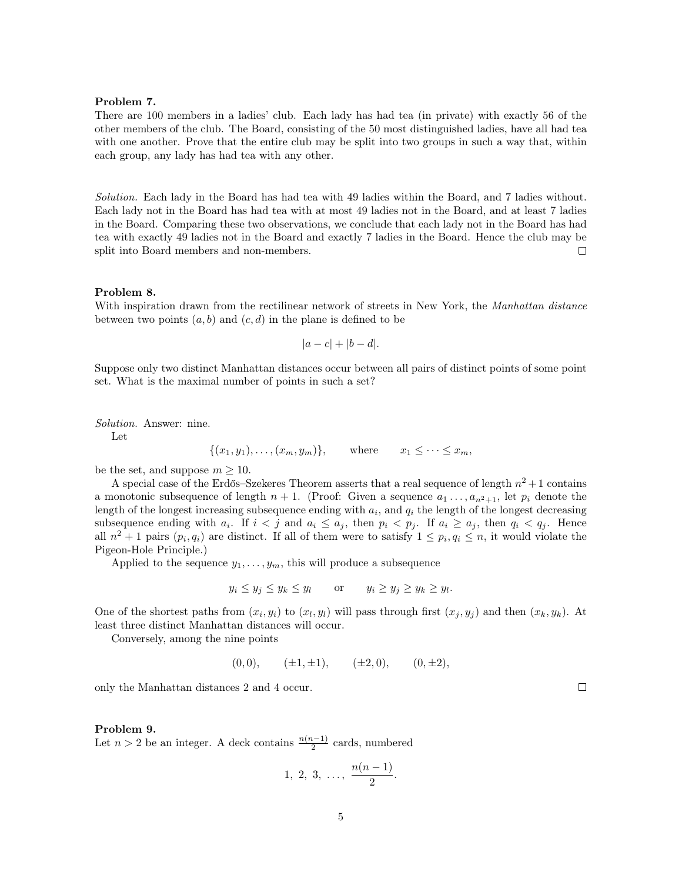#### Problem 7.

There are 100 members in a ladies' club. Each lady has had tea (in private) with exactly 56 of the other members of the club. The Board, consisting of the 50 most distinguished ladies, have all had tea with one another. Prove that the entire club may be split into two groups in such a way that, within each group, any lady has had tea with any other.

Solution. Each lady in the Board has had tea with 49 ladies within the Board, and 7 ladies without. Each lady not in the Board has had tea with at most 49 ladies not in the Board, and at least 7 ladies in the Board. Comparing these two observations, we conclude that each lady not in the Board has had tea with exactly 49 ladies not in the Board and exactly 7 ladies in the Board. Hence the club may be split into Board members and non-members.  $\Box$ 

#### Problem 8.

With inspiration drawn from the rectilinear network of streets in New York, the Manhattan distance between two points  $(a, b)$  and  $(c, d)$  in the plane is defined to be

$$
|a-c|+|b-d|.
$$

Suppose only two distinct Manhattan distances occur between all pairs of distinct points of some point set. What is the maximal number of points in such a set?

Solution. Answer: nine.

Let

$$
\{(x_1, y_1), \ldots, (x_m, y_m)\}, \qquad \text{where} \qquad x_1 \leq \cdots \leq x_m,
$$

be the set, and suppose  $m > 10$ .

A special case of the Erdős–Szekeres Theorem asserts that a real sequence of length  $n^2+1$  contains a monotonic subsequence of length  $n + 1$ . (Proof: Given a sequence  $a_1 \ldots, a_{n^2+1}$ , let  $p_i$  denote the length of the longest increasing subsequence ending with  $a_i$ , and  $q_i$  the length of the longest decreasing subsequence ending with  $a_i$ . If  $i < j$  and  $a_i \leq a_j$ , then  $p_i < p_j$ . If  $a_i \geq a_j$ , then  $q_i < q_j$ . Hence all  $n^2 + 1$  pairs  $(p_i, q_i)$  are distinct. If all of them were to satisfy  $1 \leq p_i, q_i \leq n$ , it would violate the Pigeon-Hole Principle.)

Applied to the sequence  $y_1, \ldots, y_m$ , this will produce a subsequence

$$
y_i \le y_j \le y_k \le y_l
$$
 or  $y_i \ge y_j \ge y_k \ge y_l$ .

One of the shortest paths from  $(x_i, y_i)$  to  $(x_l, y_l)$  will pass through first  $(x_j, y_j)$  and then  $(x_k, y_k)$ . At least three distinct Manhattan distances will occur.

Conversely, among the nine points

$$
(0,0), \quad (\pm 1, \pm 1), \quad (\pm 2,0), \quad (0,\pm 2),
$$

only the Manhattan distances 2 and 4 occur.

#### Problem 9.

Let  $n > 2$  be an integer. A deck contains  $\frac{n(n-1)}{2}$  cards, numbered

$$
1, 2, 3, \ldots, \frac{n(n-1)}{2}.
$$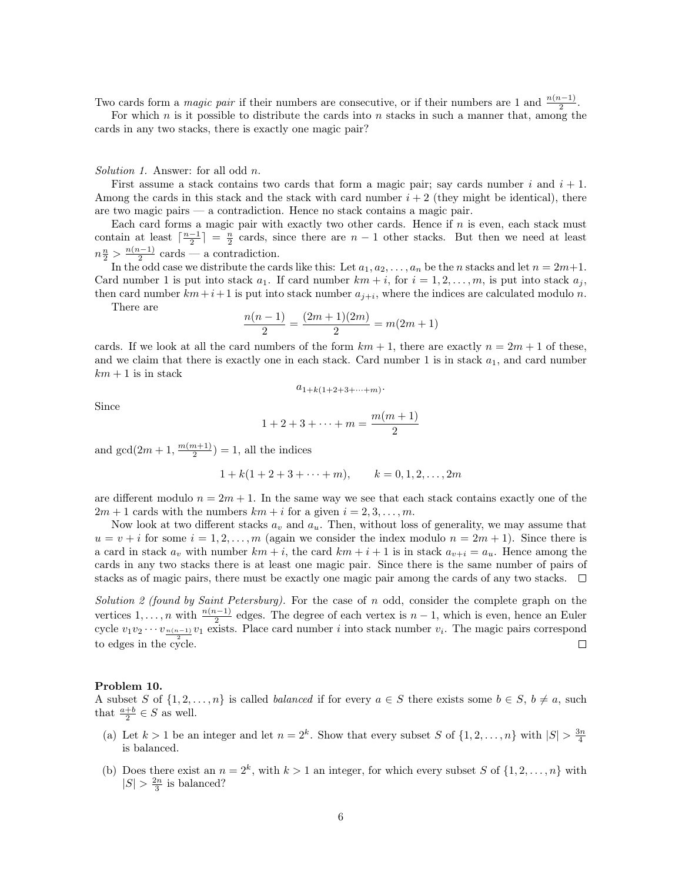Two cards form a *magic pair* if their numbers are consecutive, or if their numbers are 1 and  $\frac{n(n-1)}{2}$ .

For which  $n$  is it possible to distribute the cards into  $n$  stacks in such a manner that, among the cards in any two stacks, there is exactly one magic pair?

Solution 1. Answer: for all odd n.

First assume a stack contains two cards that form a magic pair; say cards number i and  $i + 1$ . Among the cards in this stack and the stack with card number  $i + 2$  (they might be identical), there are two magic pairs — a contradiction. Hence no stack contains a magic pair.

Each card forms a magic pair with exactly two other cards. Hence if n is even, each stack must contain at least  $\lceil \frac{n-1}{2} \rceil = \frac{n}{2}$  cards, since there are  $n-1$  other stacks. But then we need at least  $n\frac{n}{2} > \frac{n(n-1)}{2}$  $\frac{i-1}{2}$  cards — a contradiction.

In the odd case we distribute the cards like this: Let  $a_1, a_2, \ldots, a_n$  be the n stacks and let  $n = 2m+1$ . Card number 1 is put into stack  $a_1$ . If card number  $km + i$ , for  $i = 1, 2, ..., m$ , is put into stack  $a_j$ , then card number  $km+i+1$  is put into stack number  $a_{j+i}$ , where the indices are calculated modulo n.

There are

$$
\frac{n(n-1)}{2} = \frac{(2m+1)(2m)}{2} = m(2m+1)
$$

cards. If we look at all the card numbers of the form  $km + 1$ , there are exactly  $n = 2m + 1$  of these, and we claim that there is exactly one in each stack. Card number 1 is in stack  $a_1$ , and card number  $km + 1$  is in stack

$$
a_{1+k(1+2+3+\cdots+m)}.
$$

Since

$$
1 + 2 + 3 + \dots + m = \frac{m(m+1)}{2}
$$

and  $gcd(2m+1, \frac{m(m+1)}{2})$  $\frac{n+1}{2}$  = 1, all the indices

$$
1 + k(1 + 2 + 3 + \cdots + m),
$$
  $k = 0, 1, 2, \ldots, 2m$ 

are different modulo  $n = 2m + 1$ . In the same way we see that each stack contains exactly one of the  $2m + 1$  cards with the numbers  $km + i$  for a given  $i = 2, 3, ..., m$ .

Now look at two different stacks  $a_v$  and  $a_u$ . Then, without loss of generality, we may assume that  $u = v + i$  for some  $i = 1, 2, ..., m$  (again we consider the index modulo  $n = 2m + 1$ ). Since there is a card in stack  $a_v$  with number  $km + i$ , the card  $km + i + 1$  is in stack  $a_{v+i} = a_u$ . Hence among the cards in any two stacks there is at least one magic pair. Since there is the same number of pairs of stacks as of magic pairs, there must be exactly one magic pair among the cards of any two stacks.  $\Box$ 

Solution 2 (found by Saint Petersburg). For the case of n odd, consider the complete graph on the vertices  $1, \ldots, n$  with  $\frac{n(n-1)}{2}$  edges. The degree of each vertex is  $n-1$ , which is even, hence an Euler cycle  $v_1v_2 \cdots v_{\frac{n(n-1)}{2}}v_1$  exists. Place card number *i* into stack number  $v_i$ . The magic pairs correspond to edges in the cycle.  $\Box$ 

#### Problem 10.

A subset S of  $\{1, 2, ..., n\}$  is called *balanced* if for every  $a \in S$  there exists some  $b \in S$ ,  $b \neq a$ , such that  $\frac{a+b}{2} \in S$  as well.

- (a) Let  $k > 1$  be an integer and let  $n = 2^k$ . Show that every subset S of  $\{1, 2, ..., n\}$  with  $|S| > \frac{3n}{4}$ is balanced.
- (b) Does there exist an  $n = 2^k$ , with  $k > 1$  an integer, for which every subset S of  $\{1, 2, ..., n\}$  with  $|S| > \frac{2n}{3}$  is balanced?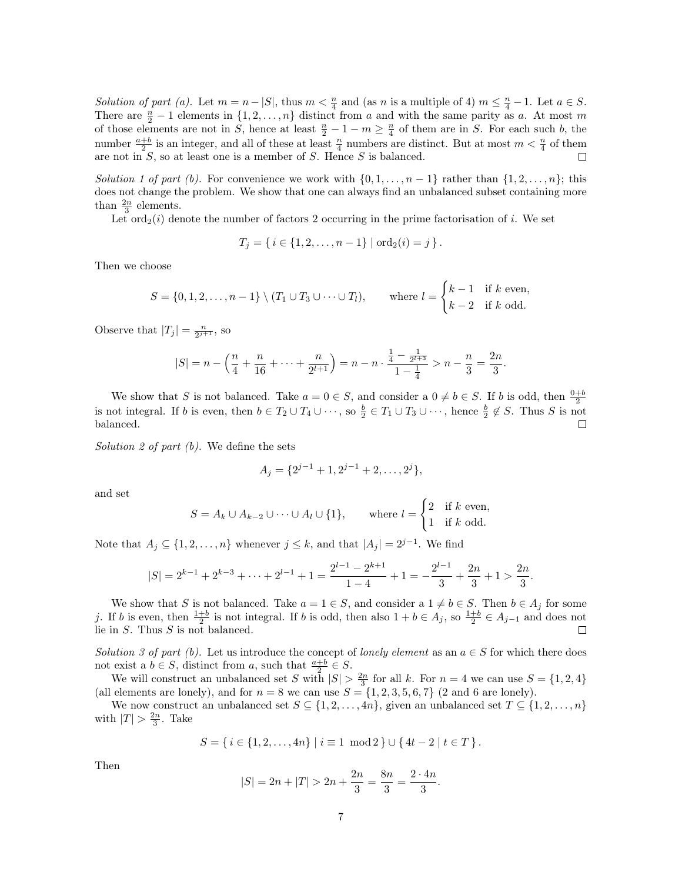Solution of part (a). Let  $m = n - |S|$ , thus  $m < \frac{n}{4}$  and (as n is a multiple of 4)  $m \leq \frac{n}{4} - 1$ . Let  $a \in S$ . There are  $\frac{n}{2} - 1$  elements in  $\{1, 2, ..., n\}$  distinct from a and with the same parity as a. At most m of those elements are not in S, hence at least  $\frac{n}{2} - 1 - m \ge \frac{n}{4}$  of them are in S. For each such b, the number  $\frac{a+b}{2}$  is an integer, and all of these at least  $\frac{n}{4}$  numbers are distinct. But at most  $m < \frac{n}{4}$  of them are not in  $S$ , so at least one is a member of  $S$ . Hence  $S$  is balanced.  $\Box$ 

Solution 1 of part (b). For convenience we work with  $\{0, 1, \ldots, n-1\}$  rather than  $\{1, 2, \ldots, n\}$ ; this does not change the problem. We show that one can always find an unbalanced subset containing more than  $\frac{2n}{3}$  elements.

Let  $\text{ord}_2(i)$  denote the number of factors 2 occurring in the prime factorisation of i. We set

$$
T_j = \{ i \in \{1, 2, \ldots, n-1\} \mid \text{ord}_2(i) = j \}.
$$

Then we choose

$$
S = \{0, 1, 2, \dots, n-1\} \setminus (T_1 \cup T_3 \cup \dots \cup T_l), \quad \text{where } l = \begin{cases} k-1 & \text{if } k \text{ even,} \\ k-2 & \text{if } k \text{ odd.} \end{cases}
$$

Observe that  $|T_j| = \frac{n}{2^{j+1}}$ , so

$$
|S| = n - \left(\frac{n}{4} + \frac{n}{16} + \dots + \frac{n}{2^{l+1}}\right) = n - n \cdot \frac{\frac{1}{4} - \frac{1}{2^{l+3}}}{1 - \frac{1}{4}} > n - \frac{n}{3} = \frac{2n}{3}.
$$

We show that S is not balanced. Take  $a = 0 \in S$ , and consider a  $0 \neq b \in S$ . If b is odd, then  $\frac{0+b}{2}$ is not integral. If b is even, then  $b \in T_2 \cup T_4 \cup \cdots$ , so  $\frac{b}{2} \in T_1 \cup T_3 \cup \cdots$ , hence  $\frac{b}{2} \notin S$ . Thus S is not balanced.  $\Box$ 

Solution 2 of part  $(b)$ . We define the sets

$$
A_j = \{2^{j-1} + 1, 2^{j-1} + 2, \dots, 2^j\},\
$$

and set

$$
S = A_k \cup A_{k-2} \cup \dots \cup A_l \cup \{1\}, \qquad \text{where } l = \begin{cases} 2 & \text{if } k \text{ even,} \\ 1 & \text{if } k \text{ odd.} \end{cases}
$$

Note that  $A_j \subseteq \{1, 2, ..., n\}$  whenever  $j \leq k$ , and that  $|A_j| = 2^{j-1}$ . We find

$$
|S|=2^{k-1}+2^{k-3}+\cdots+2^{l-1}+1=\frac{2^{l-1}-2^{k+1}}{1-4}+1=-\frac{2^{l-1}}{3}+\frac{2n}{3}+1>\frac{2n}{3}.
$$

We show that S is not balanced. Take  $a = 1 \in S$ , and consider a  $1 \neq b \in S$ . Then  $b \in A_j$  for some j. If b is even, then  $\frac{1+b}{2}$  is not integral. If b is odd, then also  $1+b \in A_j$ , so  $\frac{1+b}{2} \in A_{j-1}$  and does not lie in  $S$ . Thus  $S$  is not balanced.  $\Box$ 

Solution 3 of part (b). Let us introduce the concept of lonely element as an  $a \in S$  for which there does not exist a  $b \in S$ , distinct from a, such that  $\frac{a+b}{2} \in S$ .

We will construct an unbalanced set S with  $|S| > \frac{2n}{3}$  for all k. For  $n = 4$  we can use  $S = \{1, 2, 4\}$ (all elements are lonely), and for  $n = 8$  we can use  $S = \{1, 2, 3, 5, 6, 7\}$  (2 and 6 are lonely).

We now construct an unbalanced set  $S \subseteq \{1, 2, ..., 4n\}$ , given an unbalanced set  $T \subseteq \{1, 2, ..., n\}$ with  $|T| > \frac{2n}{3}$ . Take

$$
S = \{ i \in \{1, 2, \dots, 4n\} \mid i \equiv 1 \mod 2 \} \cup \{ 4t - 2 \mid t \in T \}.
$$

Then

$$
|S| = 2n + |T| > 2n + \frac{2n}{3} = \frac{8n}{3} = \frac{2 \cdot 4n}{3}.
$$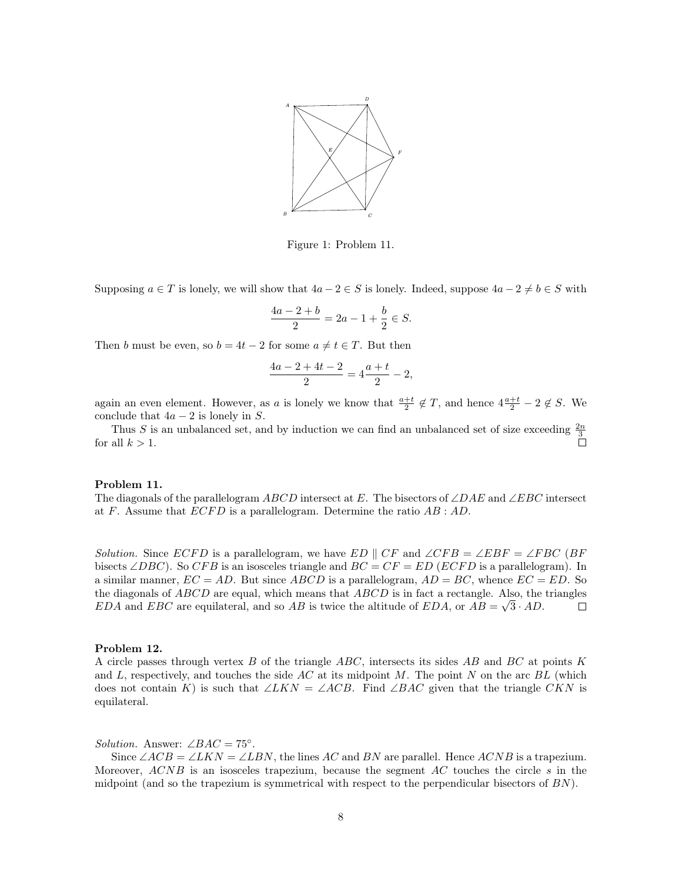

Figure 1: Problem 11.

Supposing  $a \in T$  is lonely, we will show that  $4a - 2 \in S$  is lonely. Indeed, suppose  $4a - 2 \neq b \in S$  with

$$
\frac{4a - 2 + b}{2} = 2a - 1 + \frac{b}{2} \in S.
$$

Then b must be even, so  $b = 4t - 2$  for some  $a \neq t \in T$ . But then

$$
\frac{4a-2+4t-2}{2} = 4\frac{a+t}{2} - 2,
$$

again an even element. However, as a is lonely we know that  $\frac{a+t}{2} \notin T$ , and hence  $4\frac{a+t}{2} - 2 \notin S$ . We conclude that  $4a - 2$  is lonely in S.

Thus S is an unbalanced set, and by induction we can find an unbalanced set of size exceeding  $\frac{2n}{3}$ for all  $k > 1$ .

#### Problem 11.

The diagonals of the parallelogram ABCD intersect at E. The bisectors of  $\angle DAE$  and  $\angle EBC$  intersect at  $F$ . Assume that  $ECFD$  is a parallelogram. Determine the ratio  $AB : AD$ .

Solution. Since  $ECFD$  is a parallelogram, we have  $ED \parallel CF$  and  $\angle CFB = \angle EBF = \angle FBC$  (BF bisects ∠DBC). So CFB is an isosceles triangle and  $BC = CF = ED$  (ECFD is a parallelogram). In a similar manner,  $EC = AD$ . But since  $ABCD$  is a parallelogram,  $AD = BC$ , whence  $EC = ED$ . So the diagonals of *ABCD* are equal, which means that *ABCD* is in fact a rectangle. Also, the triangles EDA and EBC are equilateral, and so AB is twice the altitude of EDA, or  $AB = \sqrt{3 \cdot AD}$ .  $\Box$ 

#### Problem 12.

A circle passes through vertex  $B$  of the triangle  $ABC$ , intersects its sides  $AB$  and  $BC$  at points  $K$ and L, respectively, and touches the side AC at its midpoint M. The point N on the arc  $BL$  (which does not contain K) is such that ∠LKN = ∠ACB. Find ∠BAC given that the triangle CKN is equilateral.

# Solution. Answer:  $\angle BAC = 75^{\circ}$ .

Since  $\angle ACB = \angle LKN = \angle LBN$ , the lines AC and BN are parallel. Hence ACNB is a trapezium. Moreover,  $ACNB$  is an isosceles trapezium, because the segment  $AC$  touches the circle s in the midpoint (and so the trapezium is symmetrical with respect to the perpendicular bisectors of  $BN$ ).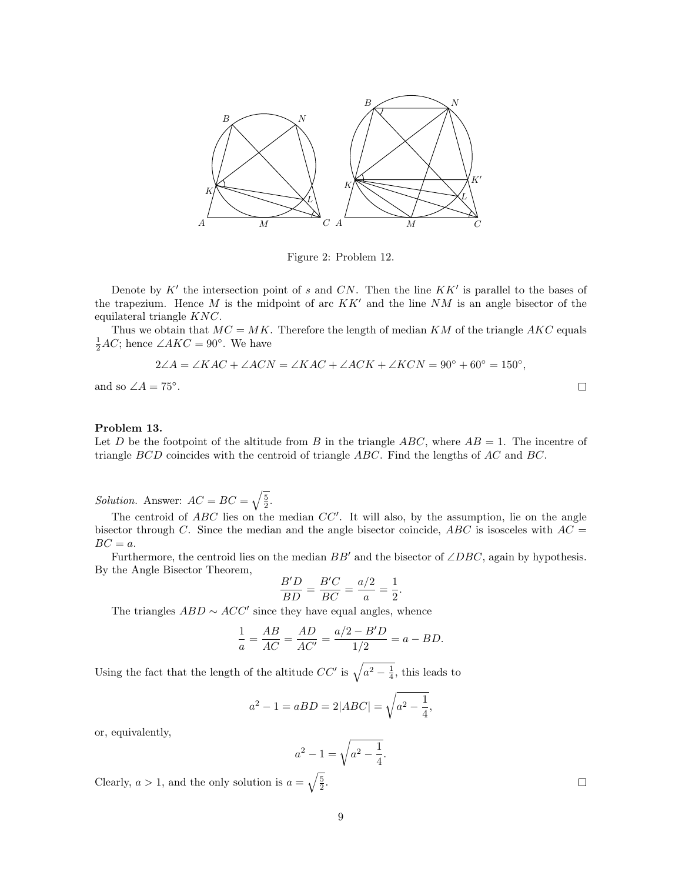

Figure 2: Problem 12.

Denote by  $K'$  the intersection point of s and CN. Then the line  $KK'$  is parallel to the bases of the trapezium. Hence  $M$  is the midpoint of arc  $KK'$  and the line  $NM$  is an angle bisector of the equilateral triangle KNC.

Thus we obtain that  $MC = MK$ . Therefore the length of median KM of the triangle AKC equals  $\frac{1}{2}AC$ ; hence  $\angle AKC = 90^{\circ}$ . We have

$$
2\angle A = \angle KAC + \angle ACN = \angle KAC + \angle ACK + \angle KCN = 90^{\circ} + 60^{\circ} = 150^{\circ},
$$

and so  $\angle A = 75^\circ$ .

### Problem 13.

Let D be the footpoint of the altitude from B in the triangle  $ABC$ , where  $AB = 1$ . The incentre of triangle  $BCD$  coincides with the centroid of triangle  $ABC$ . Find the lengths of AC and BC.

*Solution.* Answer:  $AC = BC = \sqrt{\frac{5}{2}}$ .

The centroid of  $ABC$  lies on the median  $CC'$ . It will also, by the assumption, lie on the angle bisector through C. Since the median and the angle bisector coincide,  $ABC$  is isosceles with  $AC =$  $BC = a$ .

Furthermore, the centroid lies on the median  $BB'$  and the bisector of  $\angle DBC$ , again by hypothesis. By the Angle Bisector Theorem,

$$
\frac{B'D}{BD} = \frac{B'C}{BC} = \frac{a/2}{a} = \frac{1}{2}.
$$

The triangles  $ABD \sim ACC'$  since they have equal angles, whence

$$
\frac{1}{a} = \frac{AB}{AC} = \frac{AD}{AC'} = \frac{a/2 - B'D}{1/2} = a - BD.
$$

Using the fact that the length of the altitude  $CC'$  is  $\sqrt{a^2 - \frac{1}{4}}$ , this leads to

$$
a^{2} - 1 = aBD = 2|ABC| = \sqrt{a^{2} - \frac{1}{4}},
$$

or, equivalently,

$$
a^2 - 1 = \sqrt{a^2 - \frac{1}{4}}.
$$

Clearly,  $a > 1$ , and the only solution is  $a = \sqrt{\frac{5}{2}}$ .

 $\Box$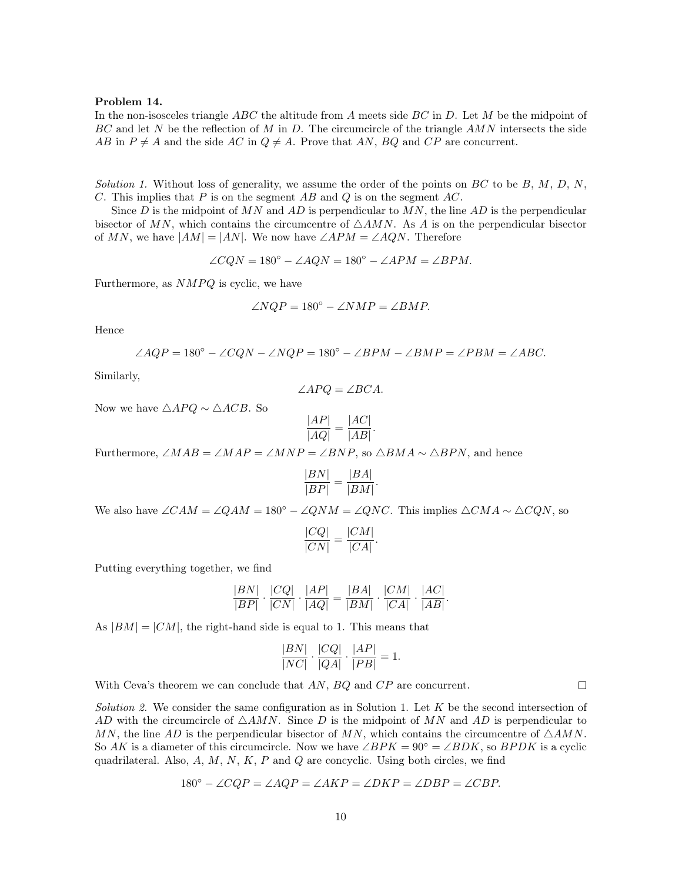#### Problem 14.

In the non-isosceles triangle  $ABC$  the altitude from A meets side  $BC$  in D. Let M be the midpoint of BC and let N be the reflection of M in D. The circumcircle of the triangle  $AMN$  intersects the side AB in  $P \neq A$  and the side AC in  $Q \neq A$ . Prove that AN, BQ and CP are concurrent.

Solution 1. Without loss of generality, we assume the order of the points on  $BC$  to be  $B, M, D, N$ , C. This implies that  $P$  is on the segment  $AB$  and  $Q$  is on the segment  $AC$ .

Since D is the midpoint of MN and AD is perpendicular to MN, the line AD is the perpendicular bisector of MN, which contains the circumcentre of  $\triangle AMN$ . As A is on the perpendicular bisector of MN, we have  $|AM| = |AN|$ . We now have  $\angle APM = \angle AQN$ . Therefore

$$
\angle CQN = 180^{\circ} - \angle AQN = 180^{\circ} - \angle APM = \angle BPM.
$$

Furthermore, as  $NMPQ$  is cyclic, we have

$$
\angle NQP = 180^\circ - \angle NMP = \angle BMP.
$$

Hence

$$
\angle AQP = 180^\circ - \angle CQN - \angle NQP = 180^\circ - \angle BPM - \angle BMP = \angle PBM = \angle ABC.
$$

Similarly,

$$
\angle APQ = \angle BCA.
$$

Now we have  $\triangle APQ \sim \triangle ACB$ . So

$$
\frac{|AP|}{|AQ|} = \frac{|AC|}{|AB|}.
$$

Furthermore, ∠MAB = ∠MAP = ∠MNP = ∠BNP, so  $\triangle BMA \sim \triangle BPN$ , and hence

$$
\frac{|BN|}{|BP|} = \frac{|BA|}{|BM|}.
$$

We also have ∠CAM = ∠QAM = 180° – ∠QNM = ∠QNC. This implies  $\triangle CMA \sim \triangle CQN$ , so

$$
\frac{|CQ|}{|CN|} = \frac{|CM|}{|CA|}.
$$

Putting everything together, we find

$$
\frac{|BN|}{|BP|} \cdot \frac{|CQ|}{|CN|} \cdot \frac{|AP|}{|AQ|} = \frac{|BA|}{|BM|} \cdot \frac{|CM|}{|CA|} \cdot \frac{|AC|}{|AB|}.
$$

As  $|BM| = |CM|$ , the right-hand side is equal to 1. This means that

$$
\frac{|BN|}{|NC|} \cdot \frac{|CQ|}{|QA|} \cdot \frac{|AP|}{|PB|} = 1.
$$

With Ceva's theorem we can conclude that AN, BQ and CP are concurrent.

Solution 2. We consider the same configuration as in Solution 1. Let  $K$  be the second intersection of AD with the circumcircle of  $\triangle AMN$ . Since D is the midpoint of MN and AD is perpendicular to MN, the line AD is the perpendicular bisector of MN, which contains the circumcentre of  $\triangle AMN$ . So AK is a diameter of this circumcircle. Now we have  $\angle BPK = 90° = \angle BDK$ , so  $BPDK$  is a cyclic quadrilateral. Also,  $A, M, N, K, P$  and  $Q$  are concyclic. Using both circles, we find

$$
180^{\circ} - \angle CQP = \angle AQP = \angle AKP = \angle DKP = \angle DBP = \angle CBP.
$$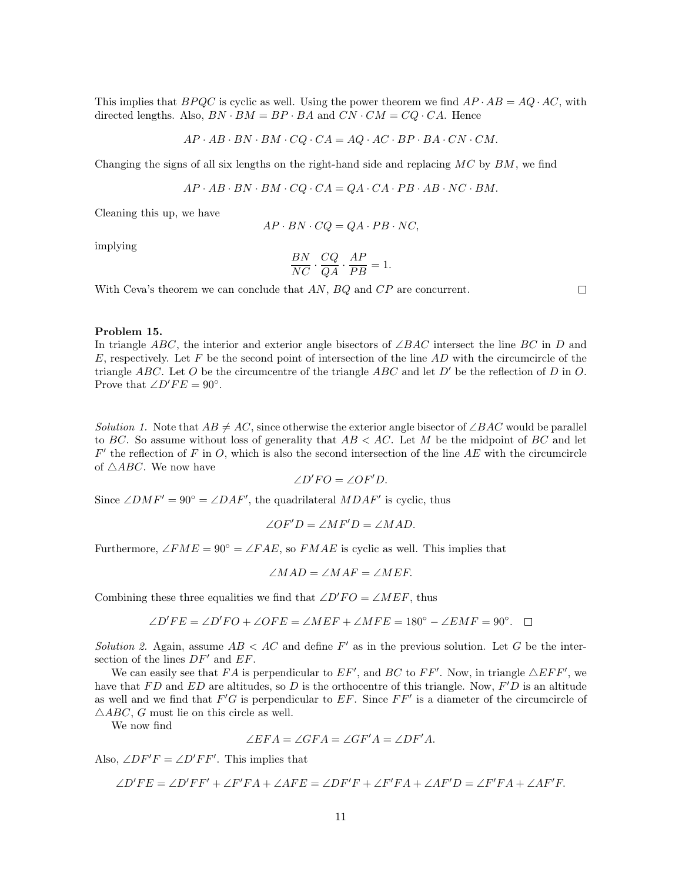This implies that  $BPQC$  is cyclic as well. Using the power theorem we find  $AP \cdot AB = AQ \cdot AC$ , with directed lengths. Also,  $BN \cdot BM = BP \cdot BA$  and  $CN \cdot CM = CQ \cdot CA$ . Hence

$$
AP \cdot AB \cdot BN \cdot BM \cdot CQ \cdot CA = AQ \cdot AC \cdot BP \cdot BA \cdot CN \cdot CM.
$$

Changing the signs of all six lengths on the right-hand side and replacing  $MC$  by  $BM$ , we find

$$
AP \cdot AB \cdot BN \cdot BM \cdot CQ \cdot CA = QA \cdot CA \cdot PB \cdot AB \cdot NC \cdot BM.
$$

Cleaning this up, we have

$$
AP \cdot BN \cdot CQ = QA \cdot PB \cdot NC,
$$

implying

$$
\frac{BN}{NC} \cdot \frac{CQ}{QA} \cdot \frac{AP}{PB} = 1.
$$

With Ceva's theorem we can conclude that AN, BQ and CP are concurrent.

 $\Box$ 

# Problem 15.

In triangle ABC, the interior and exterior angle bisectors of  $\angle BAC$  intersect the line BC in D and E, respectively. Let F be the second point of intersection of the line  $AD$  with the circumcircle of the triangle ABC. Let O be the circumcentre of the triangle ABC and let  $D'$  be the reflection of D in O. Prove that  $\angle D'FE = 90^\circ$ .

Solution 1. Note that  $AB \neq AC$ , since otherwise the exterior angle bisector of ∠BAC would be parallel to BC. So assume without loss of generality that  $AB < AC$ . Let M be the midpoint of BC and let  $F'$  the reflection of F in O, which is also the second intersection of the line AE with the circumcircle of  $\triangle ABC$ . We now have

$$
\angle D'FO = \angle OF'D.
$$

Since  $\angle DMF' = 90^\circ = \angle DAF'$ , the quadrilateral  $MDAF'$  is cyclic, thus

$$
\angle OF'D = \angle MF'D = \angle MAD.
$$

Furthermore,  $\angle FME = 90^{\circ} = \angle FAE$ , so  $FMAE$  is cyclic as well. This implies that

$$
\angle MAD = \angle MAF = \angle MEF.
$$

Combining these three equalities we find that  $\angle D'FO = \angle MEF$ , thus

$$
\angle D'FE = \angle D'FO + \angle OFE = \angle MEF + \angle MFE = 180^{\circ} - \angle EMF = 90^{\circ}.
$$

Solution 2. Again, assume  $AB < AC$  and define F' as in the previous solution. Let G be the intersection of the lines  $DF'$  and  $EF$ .

We can easily see that FA is perpendicular to  $EF'$ , and BC to FF'. Now, in triangle  $\triangle EFF'$ , we have that  $FD$  and  $ED$  are altitudes, so D is the orthocentre of this triangle. Now,  $F'D$  is an altitude as well and we find that  $F'G$  is perpendicular to  $EF$ . Since  $FF'$  is a diameter of the circumcircle of  $\triangle ABC$ , G must lie on this circle as well.

We now find

$$
\angle EFA = \angle GFA = \angle GF'A = \angle DF'A.
$$

Also,  $\angle DF'F = \angle D'FF'$ . This implies that

$$
\angle D'FE = \angle D'FF' + \angle F'FA + \angle AFE = \angle DF'F + \angle F'FA + \angle AF'D = \angle F'FA + \angle AF'F.
$$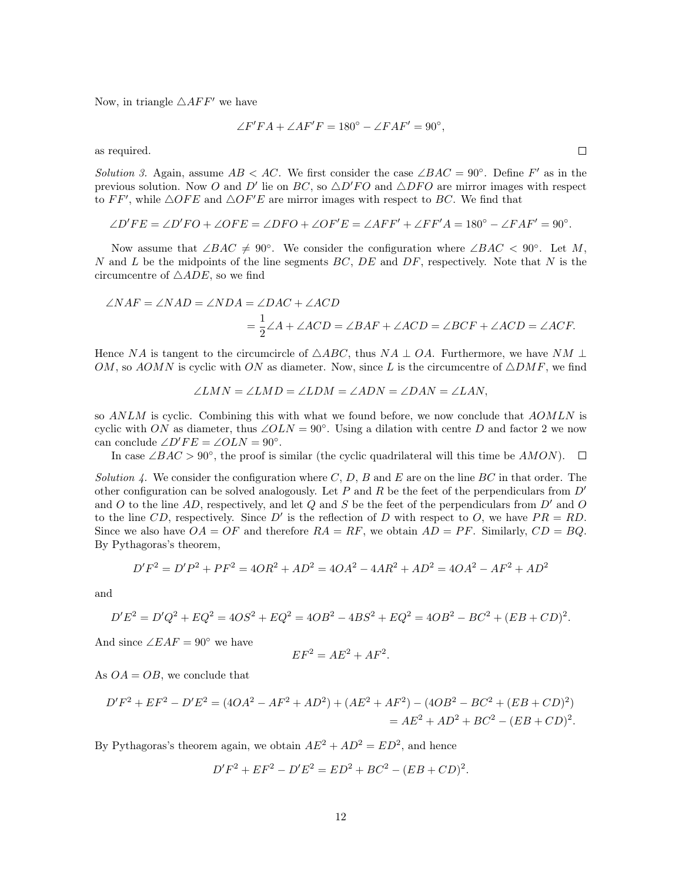Now, in triangle  $\triangle{AFF'}$  we have

$$
\angle F'FA + \angle AF'F = 180^{\circ} - \angle FAR' = 90^{\circ},
$$

as required.

Solution 3. Again, assume  $AB < AC$ . We first consider the case  $\angle BAC = 90^{\circ}$ . Define F' as in the previous solution. Now O and D' lie on BC, so  $\triangle D'FO$  and  $\triangle DFO$  are mirror images with respect to FF', while  $\triangle OFE$  and  $\triangle OF'E$  are mirror images with respect to BC. We find that

$$
\angle D'FE = \angle D'FO + \angle OFE = \angle DFO + \angle OF'E = \angle AFF' + \angle FF'A = 180^{\circ} - \angle FAR' = 90^{\circ}.
$$

Now assume that  $\angle BAC \neq 90^{\circ}$ . We consider the configuration where  $\angle BAC < 90^{\circ}$ . Let M, N and L be the midpoints of the line segments  $BC$ ,  $DE$  and  $DF$ , respectively. Note that N is the circumcentre of  $\triangle ADE$ , so we find

$$
\angle NAF = \angle NAD = \angle NDA = \angle DAC + \angle ACD
$$
  
=  $\frac{1}{2} \angle A + \angle ACD = \angle BAF + \angle ACD = \angle BCF + \angle ACD = \angle ACF.$ 

Hence NA is tangent to the circumcircle of  $\triangle ABC$ , thus NA  $\perp OA$ . Furthermore, we have NM  $\perp$ OM, so AOMN is cyclic with ON as diameter. Now, since L is the circumcentre of  $\triangle DMF$ , we find

$$
\angle LMN = \angle LMD = \angle LDM = \angle ADN = \angle DAN = \angle LAN,
$$

so ANLM is cyclic. Combining this with what we found before, we now conclude that AOMLN is cyclic with ON as diameter, thus  $\angle OLN = 90^\circ$ . Using a dilation with centre D and factor 2 we now can conclude  $\angle D'FE = \angle OLN = 90^\circ$ .

In case  $\angle BAC > 90^\circ$ , the proof is similar (the cyclic quadrilateral will this time be  $AMON$ ).

Solution 4. We consider the configuration where  $C, D, B$  and E are on the line BC in that order. The other configuration can be solved analogously. Let P and R be the feet of the perpendiculars from  $D'$ and O to the line AD, respectively, and let Q and S be the feet of the perpendiculars from  $D'$  and O to the line CD, respectively. Since D' is the reflection of D with respect to O, we have  $PR = RD$ . Since we also have  $OA = OF$  and therefore  $RA = RF$ , we obtain  $AD = PF$ . Similarly,  $CD = BQ$ . By Pythagoras's theorem,

$$
D'F^2 = D'P^2 + PF^2 = 4OR^2 + AD^2 = 4OA^2 - 4AR^2 + AD^2 = 4OA^2 - AF^2 + AD^2
$$

and

$$
D'E^{2} = D'Q^{2} + EQ^{2} = 4OS^{2} + EQ^{2} = 4OB^{2} - 4BS^{2} + EQ^{2} = 4OB^{2} - BC^{2} + (EB + CD)^{2}.
$$

And since  $\angle EAF = 90^{\circ}$  we have

$$
EF^2 = AE^2 + AF^2.
$$

As  $OA = OB$ , we conclude that

$$
D'F^2 + EF^2 - D'E^2 = (4OA^2 - AF^2 + AD^2) + (AE^2 + AF^2) - (4OB^2 - BC^2 + (EB + CD)^2)
$$
  
=  $AE^2 + AD^2 + BC^2 - (EB + CD)^2$ .

By Pythagoras's theorem again, we obtain  $AE^2 + AD^2 = ED^2$ , and hence

$$
D'F^2 + EF^2 - D'E^2 = ED^2 + BC^2 - (EB + CD)^2
$$

.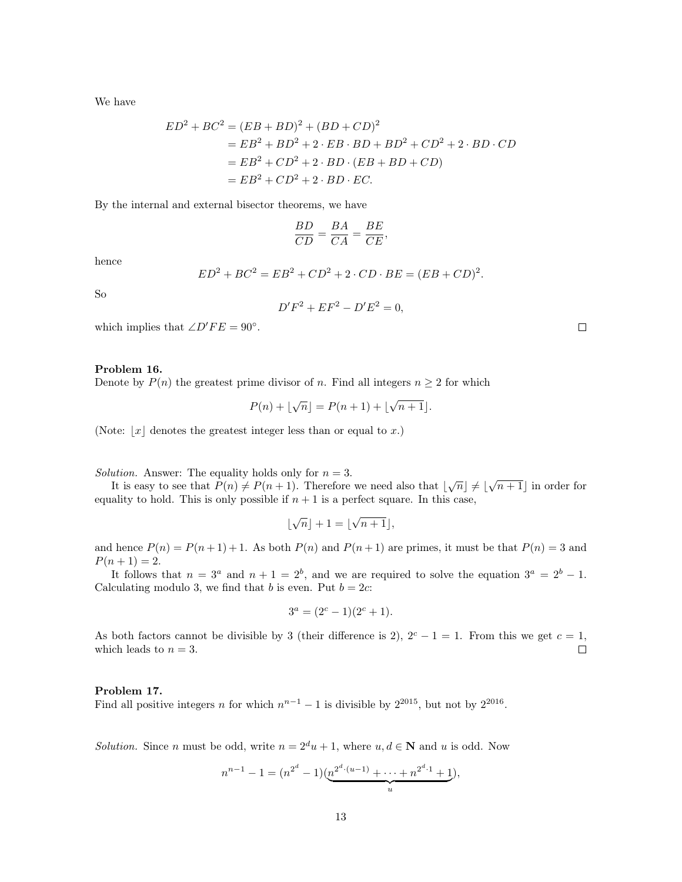We have

$$
ED^{2} + BC^{2} = (EB + BD)^{2} + (BD + CD)^{2}
$$
  
= EB^{2} + BD^{2} + 2 \cdot EB \cdot BD + BD^{2} + CD^{2} + 2 \cdot BD \cdot CD  
= EB^{2} + CD^{2} + 2 \cdot BD \cdot (EB + BD + CD)  
= EB^{2} + CD^{2} + 2 \cdot BD \cdot EC.

By the internal and external bisector theorems, we have

$$
\frac{BD}{CD} = \frac{BA}{CA} = \frac{BE}{CE},
$$

hence

$$
ED^{2} + BC^{2} = EB^{2} + CD^{2} + 2 \cdot CD \cdot BE = (EB + CD)^{2}.
$$

So

$$
D'F^2 + EF^2 - D'E^2 = 0,
$$

which implies that  $\angle D'FE = 90^\circ$ .

# Problem 16.

Denote by 
$$
P(n)
$$
 the greatest prime divisor of n. Find all integers  $n \geq 2$  for which

$$
P(n) + \lfloor \sqrt{n} \rfloor = P(n+1) + \lfloor \sqrt{n+1} \rfloor.
$$

(Note:  $|x|$  denotes the greatest integer less than or equal to x.)

Solution. Answer: The equality holds only for  $n = 3$ .

ution. Answer: The equality holds only for  $n = 3$ .<br>It is easy to see that  $P(n) \neq P(n + 1)$ . Therefore we need also that  $|\sqrt{n}| \neq |\sqrt{n+1}|$  in order for equality to hold. This is only possible if  $n + 1$  is a perfect square. In this case,

$$
\lfloor \sqrt{n} \rfloor + 1 = \lfloor \sqrt{n+1} \rfloor,
$$

and hence  $P(n) = P(n+1) + 1$ . As both  $P(n)$  and  $P(n+1)$  are primes, it must be that  $P(n) = 3$  and  $P(n+1) = 2.$ 

It follows that  $n = 3^a$  and  $n + 1 = 2^b$ , and we are required to solve the equation  $3^a = 2^b - 1$ . Calculating modulo 3, we find that b is even. Put  $b = 2c$ :

$$
3^a = (2^c - 1)(2^c + 1).
$$

As both factors cannot be divisible by 3 (their difference is 2),  $2^c - 1 = 1$ . From this we get  $c = 1$ , which leads to  $n = 3$ .  $\Box$ 

### Problem 17.

Find all positive integers *n* for which  $n^{n-1} - 1$  is divisible by  $2^{2015}$ , but not by  $2^{2016}$ .

Solution. Since n must be odd, write  $n = 2^d u + 1$ , where  $u, d \in \mathbb{N}$  and u is odd. Now

$$
n^{n-1} - 1 = (n^{2^d} - 1)(\underbrace{n^{2^{d} \cdot (u-1)} + \dots + n^{2^d \cdot 1} + 1}_{u}),
$$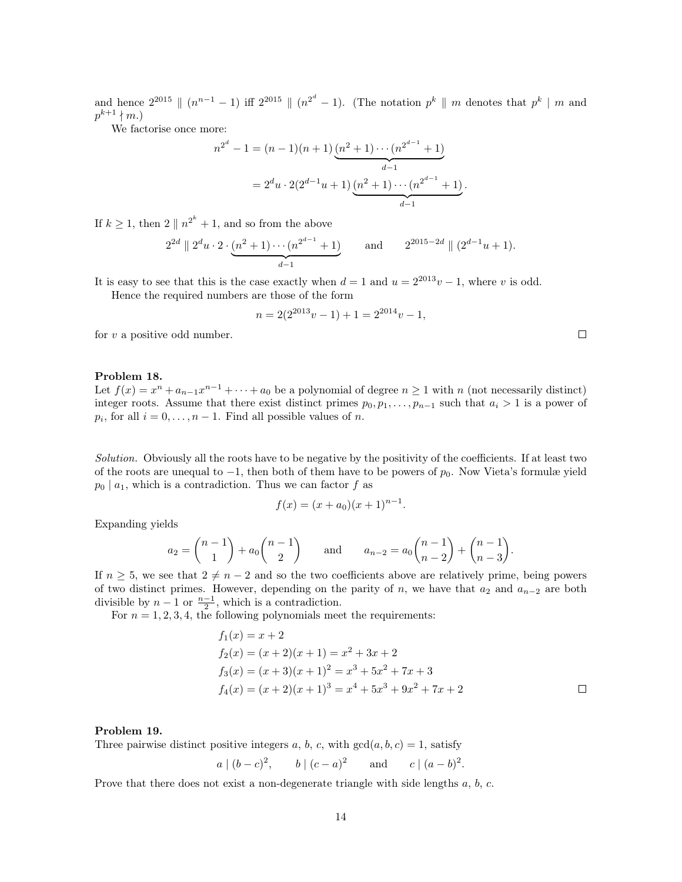and hence  $2^{2015} \parallel (n^{n-1} - 1)$  iff  $2^{2015} \parallel (n^{2^d} - 1)$ . (The notation  $p^k \parallel m$  denotes that  $p^k \parallel m$  and  $p^{k+1} \nmid m.$ 

We factorise once more:

$$
n^{2^d} - 1 = (n - 1)(n + 1) \underbrace{(n^2 + 1) \cdots (n^{2^{d-1}} + 1)}_{d-1}
$$
  
=  $2^d u \cdot 2(2^{d-1}u + 1) \underbrace{(n^2 + 1) \cdots (n^{2^{d-1}} + 1)}_{d-1}$ .

If  $k \geq 1$ , then  $2 \parallel n^{2^k} + 1$ , and so from the above

$$
2^{2d} \| 2^d u \cdot 2 \cdot \underbrace{(n^2 + 1) \cdots (n^{2^{d-1}} + 1)}_{d-1}
$$
 and  $2^{2015 - 2d} \| (2^{d-1} u + 1)$ .

It is easy to see that this is the case exactly when  $d = 1$  and  $u = 2^{2013}v - 1$ , where v is odd.

Hence the required numbers are those of the form

$$
n = 2(2^{2013}v - 1) + 1 = 2^{2014}v - 1,
$$

for  $v$  a positive odd number.

### Problem 18.

Let  $f(x) = x^n + a_{n-1}x^{n-1} + \cdots + a_0$  be a polynomial of degree  $n \ge 1$  with n (not necessarily distinct) integer roots. Assume that there exist distinct primes  $p_0, p_1, \ldots, p_{n-1}$  such that  $a_i > 1$  is a power of  $p_i$ , for all  $i = 0, \ldots, n - 1$ . Find all possible values of n.

Solution. Obviously all the roots have to be negative by the positivity of the coefficients. If at least two of the roots are unequal to  $-1$ , then both of them have to be powers of  $p_0$ . Now Vieta's formulæ yield  $p_0 | a_1$ , which is a contradiction. Thus we can factor f as

$$
f(x) = (x + a_0)(x + 1)^{n-1}.
$$

Expanding yields

$$
a_2 = \binom{n-1}{1} + a_0 \binom{n-1}{2} \quad \text{and} \quad a_{n-2} = a_0 \binom{n-1}{n-2} + \binom{n-1}{n-3}.
$$

If  $n \geq 5$ , we see that  $2 \neq n-2$  and so the two coefficients above are relatively prime, being powers of two distinct primes. However, depending on the parity of n, we have that  $a_2$  and  $a_{n-2}$  are both divisible by  $n-1$  or  $\frac{n-1}{2}$ , which is a contradiction.

For  $n = 1, 2, 3, 4$ , the following polynomials meet the requirements:

$$
f_1(x) = x + 2
$$
  
\n
$$
f_2(x) = (x + 2)(x + 1) = x^2 + 3x + 2
$$
  
\n
$$
f_3(x) = (x + 3)(x + 1)^2 = x^3 + 5x^2 + 7x + 3
$$
  
\n
$$
f_4(x) = (x + 2)(x + 1)^3 = x^4 + 5x^3 + 9x^2 + 7x + 2
$$

#### Problem 19.

Three pairwise distinct positive integers a, b, c, with  $gcd(a, b, c) = 1$ , satisfy

$$
a \mid (b-c)^2
$$
,  $b \mid (c-a)^2$  and  $c \mid (a-b)^2$ .

Prove that there does not exist a non-degenerate triangle with side lengths  $a, b, c$ .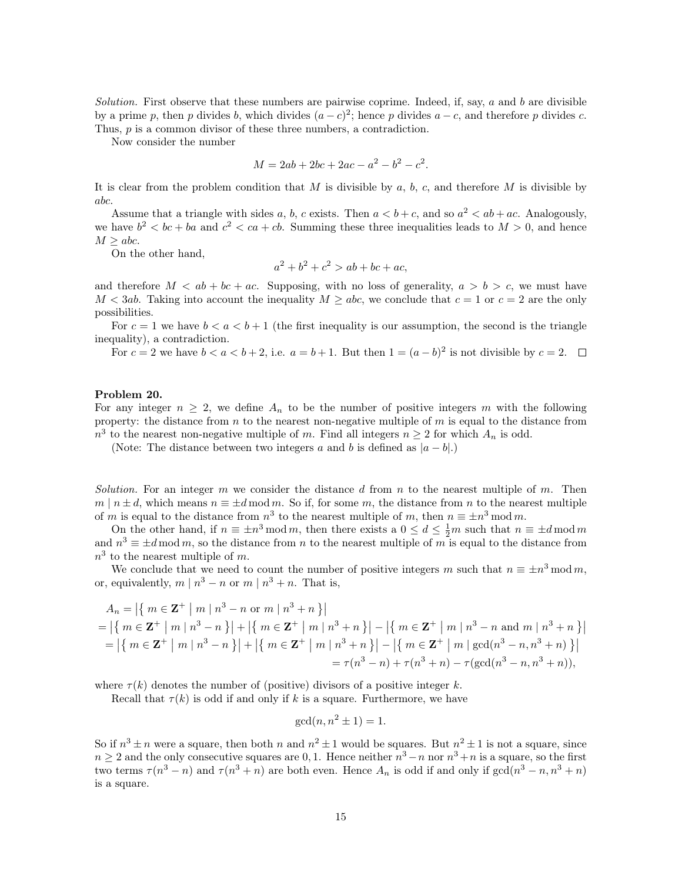Solution. First observe that these numbers are pairwise coprime. Indeed, if, say,  $a$  and  $b$  are divisible by a prime p, then p divides b, which divides  $(a-c)^2$ ; hence p divides  $a-c$ , and therefore p divides c. Thus, p is a common divisor of these three numbers, a contradiction.

Now consider the number

$$
M = 2ab + 2bc + 2ac - a^2 - b^2 - c^2.
$$

It is clear from the problem condition that M is divisible by a, b, c, and therefore M is divisible by abc.

Assume that a triangle with sides a, b, c exists. Then  $a < b+c$ , and so  $a<sup>2</sup> < ab+ac$ . Analogously, we have  $b^2 < bc + ba$  and  $c^2 < ca + cb$ . Summing these three inequalities leads to  $M > 0$ , and hence  $M > abc$ .

On the other hand,

$$
a^2 + b^2 + c^2 > ab + bc + ac,
$$

and therefore  $M < ab + bc + ac$ . Supposing, with no loss of generality,  $a > b > c$ , we must have  $M < 3ab$ . Taking into account the inequality  $M \ge abc$ , we conclude that  $c = 1$  or  $c = 2$  are the only possibilities.

For  $c = 1$  we have  $b < a < b + 1$  (the first inequality is our assumption, the second is the triangle inequality), a contradiction.

For  $c = 2$  we have  $b < a < b+2$ , i.e.  $a = b+1$ . But then  $1 = (a-b)^2$  is not divisible by  $c = 2$ .

#### Problem 20.

For any integer  $n \geq 2$ , we define  $A_n$  to be the number of positive integers m with the following property: the distance from  $n$  to the nearest non-negative multiple of  $m$  is equal to the distance from  $n^3$  to the nearest non-negative multiple of m. Find all integers  $n \geq 2$  for which  $A_n$  is odd.

(Note: The distance between two integers a and b is defined as  $|a - b|$ .)

Solution. For an integer m we consider the distance d from n to the nearest multiple of m. Then  $m \mid n \pm d$ , which means  $n \equiv \pm d \mod m$ . So if, for some m, the distance from n to the nearest multiple of m is equal to the distance from  $n^3$  to the nearest multiple of m, then  $n \equiv \pm n^3 \mod m$ .

On the other hand, if  $n \equiv \pm n^3 \mod m$ , then there exists a  $0 \le d \le \frac{1}{2}m$  such that  $n \equiv \pm d \mod m$ and  $n^3 \equiv \pm d \mod m$ , so the distance from n to the nearest multiple of m is equal to the distance from  $n<sup>3</sup>$  to the nearest multiple of m.

We conclude that we need to count the number of positive integers m such that  $n \equiv \pm n^3 \mod m$ , or, equivalently,  $m \mid n^3 - n$  or  $m \mid n^3 + n$ . That is,

$$
A_n = |\{ m \in \mathbf{Z}^+ \mid m \mid n^3 - n \text{ or } m \mid n^3 + n \}|
$$
  
= |\{ m \in \mathbf{Z}^+ \mid m \mid n^3 - n \}| + |\{ m \in \mathbf{Z}^+ \mid m \mid n^3 + n \}| - |\{ m \in \mathbf{Z}^+ \mid m \mid n^3 - n \text{ and } m \mid n^3 + n \}|  
= |\{ m \in \mathbf{Z}^+ \mid m \mid n^3 - n \}| + |\{ m \in \mathbf{Z}^+ \mid m \mid n^3 + n \}| - |\{ m \in \mathbf{Z}^+ \mid m \mid \gcd(n^3 - n, n^3 + n) \}|  
= \tau(n^3 - n) + \tau(n^3 + n) - \tau(\gcd(n^3 - n, n^3 + n)),

where  $\tau(k)$  denotes the number of (positive) divisors of a positive integer k.

Recall that  $\tau(k)$  is odd if and only if k is a square. Furthermore, we have

$$
\gcd(n, n^2 \pm 1) = 1.
$$

So if  $n^3 \pm n$  were a square, then both n and  $n^2 \pm 1$  would be squares. But  $n^2 \pm 1$  is not a square, since  $n \geq 2$  and the only consecutive squares are 0, 1. Hence neither  $n^3 - n$  nor  $n^3 + n$  is a square, so the first two terms  $\tau(n^3 - n)$  and  $\tau(n^3 + n)$  are both even. Hence  $A_n$  is odd if and only if  $gcd(n^3 - n, n^3 + n)$ is a square.